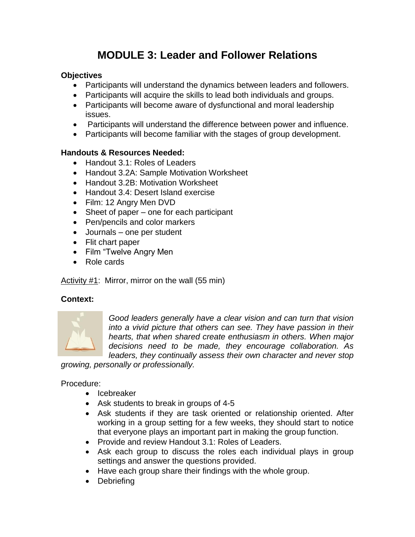# **MODULE 3: Leader and Follower Relations**

## **Objectives**

- Participants will understand the dynamics between leaders and followers.
- Participants will acquire the skills to lead both individuals and groups.
- Participants will become aware of dysfunctional and moral leadership issues.
- Participants will understand the difference between power and influence.
- Participants will become familiar with the stages of group development.

## **Handouts & Resources Needed:**

- Handout 3.1: Roles of Leaders
- Handout 3.2A: Sample Motivation Worksheet
- Handout 3.2B: Motivation Worksheet
- Handout 3.4: Desert Island exercise
- Film: 12 Angry Men DVD
- Sheet of paper one for each participant
- Pen/pencils and color markers
- Journals one per student
- Flit chart paper
- Film "Twelve Angry Men
- Role cards

#### Activity #1: Mirror, mirror on the wall (55 min)

#### **Context:**



*Good leaders generally have a clear vision and can turn that vision into a vivid picture that others can see. They have passion in their hearts, that when shared create enthusiasm in others. When major decisions need to be made, they encourage collaboration. As leaders, they continually assess their own character and never stop* 

*growing, personally or professionally.*

## Procedure:

- Icebreaker
- Ask students to break in groups of 4-5
- Ask students if they are task oriented or relationship oriented. After working in a group setting for a few weeks, they should start to notice that everyone plays an important part in making the group function.
- Provide and review Handout 3.1: Roles of Leaders.
- Ask each group to discuss the roles each individual plays in group settings and answer the questions provided.
- Have each group share their findings with the whole group.
- Debriefing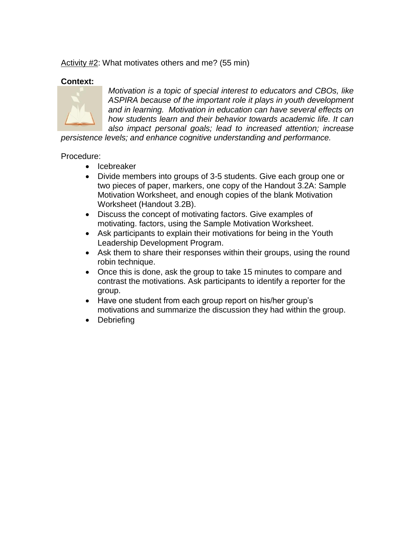Activity #2: What motivates others and me? (55 min)

## **Context:**



*Motivation is a topic of special interest to educators and CBOs, like ASPIRA because of the important role it plays in youth development and in learning. Motivation in education can have several effects on how students learn and their behavior towards academic life. It can also impact personal goals; lead to increased attention; increase* 

*persistence levels; and enhance cognitive understanding and performance.* 

## Procedure:

- Icebreaker
- Divide members into groups of 3-5 students. Give each group one or two pieces of paper, markers, one copy of the Handout 3.2A: Sample Motivation Worksheet, and enough copies of the blank Motivation Worksheet (Handout 3.2B).
- Discuss the concept of motivating factors. Give examples of motivating. factors, using the Sample Motivation Worksheet.
- Ask participants to explain their motivations for being in the Youth Leadership Development Program.
- Ask them to share their responses within their groups, using the round robin technique.
- Once this is done, ask the group to take 15 minutes to compare and contrast the motivations. Ask participants to identify a reporter for the group.
- Have one student from each group report on his/her group's motivations and summarize the discussion they had within the group.
- Debriefing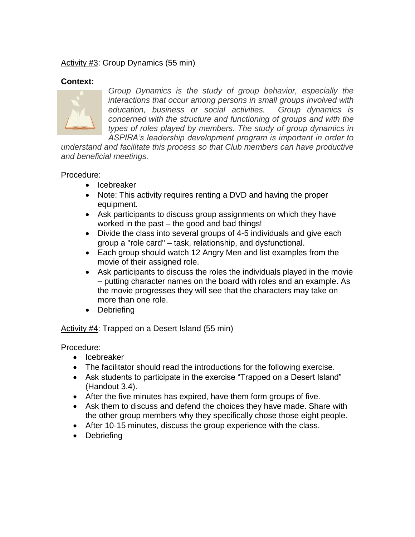## Activity #3: Group Dynamics (55 min)

## **Context:**



*Group Dynamics is the study of group behavior, especially the interactions that occur among persons in small groups involved with education, business or social activities. Group dynamics is concerned with the structure and functioning of groups and with the types of roles played by members. The study of group dynamics in ASPIRA's leadership development program is important in order to* 

*understand and facilitate this process so that Club members can have productive and beneficial meetings.* 

#### Procedure:

- Icebreaker
- Note: This activity requires renting a DVD and having the proper equipment.
- Ask participants to discuss group assignments on which they have worked in the past – the good and bad things!
- Divide the class into several groups of 4-5 individuals and give each group a "role card" – task, relationship, and dysfunctional.
- Each group should watch 12 Angry Men and list examples from the movie of their assigned role.
- Ask participants to discuss the roles the individuals played in the movie – putting character names on the board with roles and an example. As the movie progresses they will see that the characters may take on more than one role.
- Debriefing

Activity #4: Trapped on a Desert Island (55 min)

Procedure:

- Icebreaker
- The facilitator should read the introductions for the following exercise.
- Ask students to participate in the exercise "Trapped on a Desert Island" (Handout 3.4).
- After the five minutes has expired, have them form groups of five.
- Ask them to discuss and defend the choices they have made. Share with the other group members why they specifically chose those eight people.
- After 10-15 minutes, discuss the group experience with the class.
- Debriefing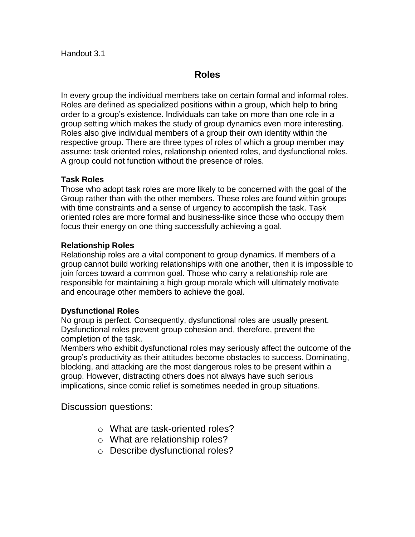## **Roles**

In every group the individual members take on certain formal and informal roles. Roles are defined as specialized positions within a group, which help to bring order to a group's existence. Individuals can take on more than one role in a group setting which makes the study of group dynamics even more interesting. Roles also give individual members of a group their own identity within the respective group. There are three types of roles of which a group member may assume: task oriented roles, relationship oriented roles, and dysfunctional roles. A group could not function without the presence of roles.

## **Task Roles**

Those who adopt task roles are more likely to be concerned with the goal of the Group rather than with the other members. These roles are found within groups with time constraints and a sense of urgency to accomplish the task. Task oriented roles are more formal and business-like since those who occupy them focus their energy on one thing successfully achieving a goal.

## **Relationship Roles**

Relationship roles are a vital component to group dynamics. If members of a group cannot build working relationships with one another, then it is impossible to join forces toward a common goal. Those who carry a relationship role are responsible for maintaining a high group morale which will ultimately motivate and encourage other members to achieve the goal.

#### **Dysfunctional Roles**

No group is perfect. Consequently, dysfunctional roles are usually present. Dysfunctional roles prevent group cohesion and, therefore, prevent the completion of the task.

Members who exhibit dysfunctional roles may seriously affect the outcome of the group's productivity as their attitudes become obstacles to success. Dominating, blocking, and attacking are the most dangerous roles to be present within a group. However, distracting others does not always have such serious implications, since comic relief is sometimes needed in group situations.

Discussion questions:

- o What are task-oriented roles?
- o What are relationship roles?
- o Describe dysfunctional roles?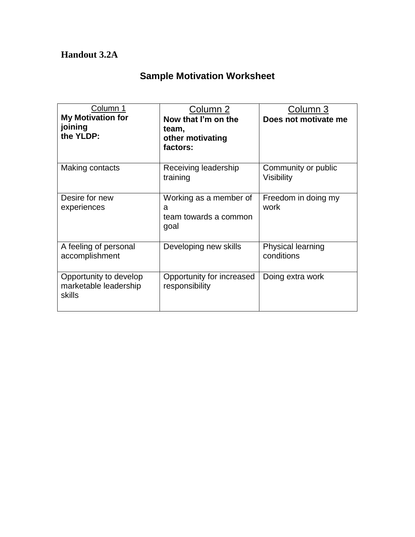## **Handout 3.2A**

## **Sample Motivation Worksheet**

| Column 1<br><b>My Motivation for</b><br>joining<br>the YLDP: | Column 2<br>Now that I'm on the<br>team,<br>other motivating<br>factors: | Column 3<br>Does not motivate me       |
|--------------------------------------------------------------|--------------------------------------------------------------------------|----------------------------------------|
| Making contacts                                              | Receiving leadership<br>training                                         | Community or public<br>Visibility      |
| Desire for new<br>experiences                                | Working as a member of<br>a<br>team towards a common<br>goal             | Freedom in doing my<br>work            |
| A feeling of personal<br>accomplishment                      | Developing new skills                                                    | <b>Physical learning</b><br>conditions |
| Opportunity to develop<br>marketable leadership<br>skills    | Opportunity for increased<br>responsibility                              | Doing extra work                       |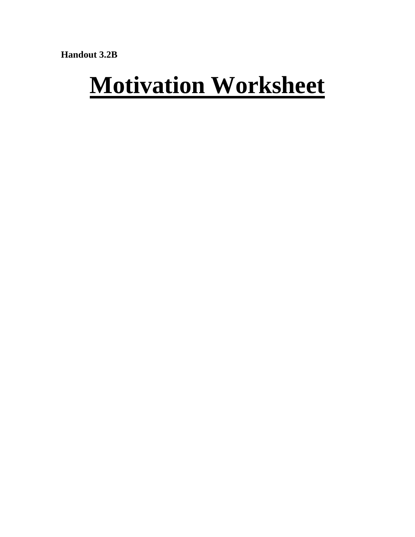Handout 3.2B

# **Motivation Worksheet**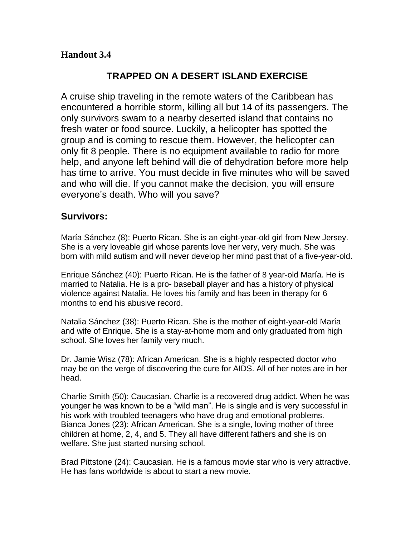## **Handout 3.4**

## **TRAPPED ON A DESERT ISLAND EXERCISE**

A cruise ship traveling in the remote waters of the Caribbean has encountered a horrible storm, killing all but 14 of its passengers. The only survivors swam to a nearby deserted island that contains no fresh water or food source. Luckily, a helicopter has spotted the group and is coming to rescue them. However, the helicopter can only fit 8 people. There is no equipment available to radio for more help, and anyone left behind will die of dehydration before more help has time to arrive. You must decide in five minutes who will be saved and who will die. If you cannot make the decision, you will ensure everyone's death. Who will you save?

## **Survivors:**

María Sánchez (8): Puerto Rican. She is an eight-year-old girl from New Jersey. She is a very loveable girl whose parents love her very, very much. She was born with mild autism and will never develop her mind past that of a five-year-old.

Enrique Sánchez (40): Puerto Rican. He is the father of 8 year-old María. He is married to Natalia. He is a pro- baseball player and has a history of physical violence against Natalia. He loves his family and has been in therapy for 6 months to end his abusive record.

Natalia Sánchez (38): Puerto Rican. She is the mother of eight-year-old María and wife of Enrique. She is a stay-at-home mom and only graduated from high school. She loves her family very much.

Dr. Jamie Wisz (78): African American. She is a highly respected doctor who may be on the verge of discovering the cure for AIDS. All of her notes are in her head.

Charlie Smith (50): Caucasian. Charlie is a recovered drug addict. When he was younger he was known to be a "wild man". He is single and is very successful in his work with troubled teenagers who have drug and emotional problems. Bianca Jones (23): African American. She is a single, loving mother of three children at home, 2, 4, and 5. They all have different fathers and she is on welfare. She just started nursing school.

Brad Pittstone (24): Caucasian. He is a famous movie star who is very attractive. He has fans worldwide is about to start a new movie.